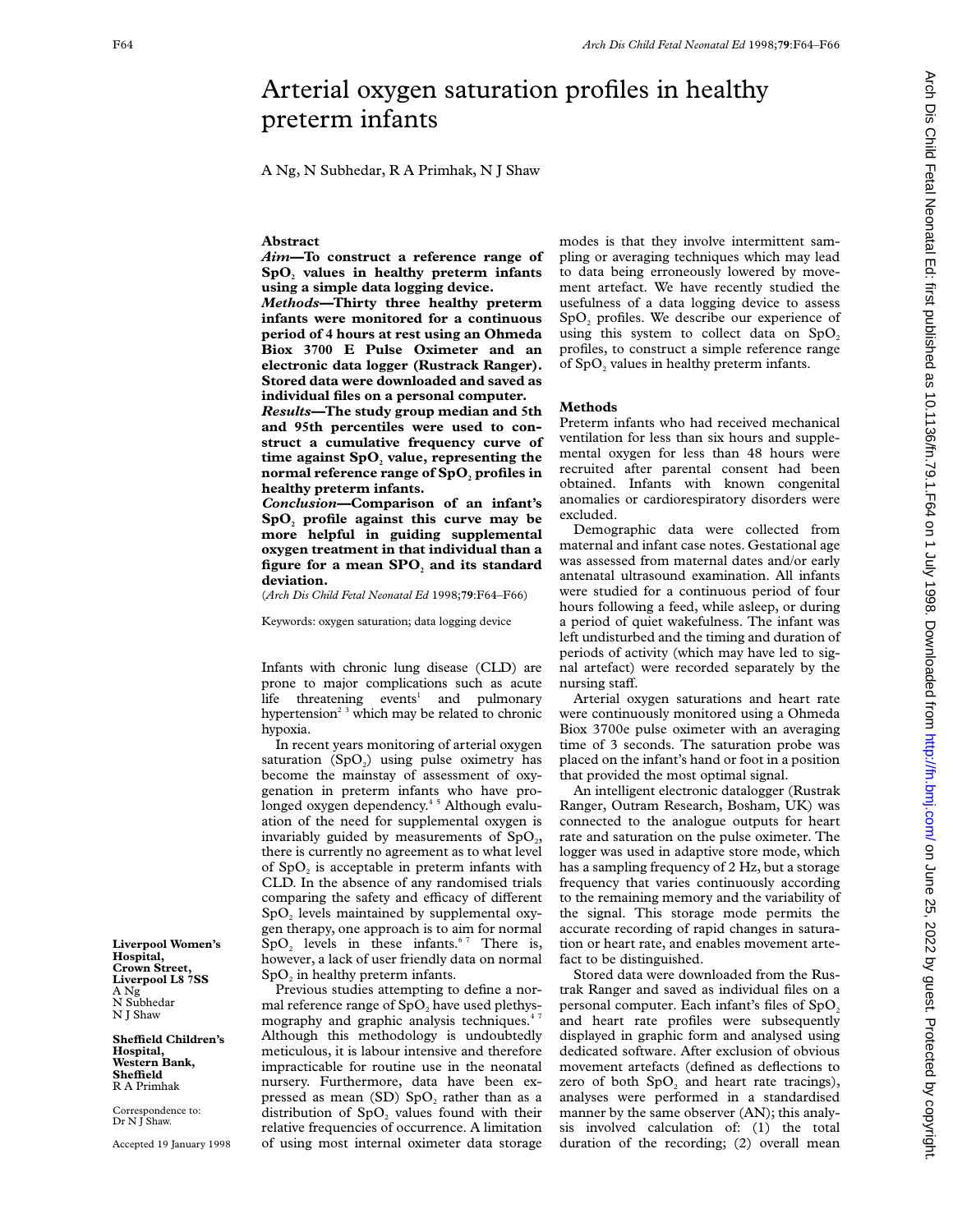# Arterial oxygen saturation profiles in healthy preterm infants

A Ng, N Subhedar, R A Primhak, N J Shaw

## **Abstract**

*Aim—***To construct a reference range of SpO2 values in healthy preterm infants using a simple data logging device.**

*Methods—***Thirty three healthy preterm infants were monitored for a continuous period of 4 hours at rest using an Ohmeda Biox 3700 E Pulse Oximeter and an electronic data logger (Rustrack Ranger). Stored data were downloaded and saved as individual files on a personal computer.**

*Results—***The study group median and 5th and 95th percentiles were used to construct a cumulative frequency curve of** time against SpO<sub>2</sub> value, representing the **normal reference range of SpO**, profiles in **healthy preterm infants.**

*Conclusion—***Comparison of an infant's SpO2 profile against this curve may be more helpful in guiding supplemental oxygen treatment in that individual than a** figure for a mean SPO<sub>2</sub> and its standard **deviation.**

(*Arch Dis Child Fetal Neonatal Ed* 1998;**79**:F64–F66)

Keywords: oxygen saturation; data logging device

Infants with chronic lung disease (CLD) are prone to major complications such as acute life threatening events<sup>1</sup> and pulmonary hypertension<sup>23</sup> which may be related to chronic hypoxia.

In recent years monitoring of arterial oxygen saturation  $(SpO<sub>2</sub>)$  using pulse oximetry has become the mainstay of assessment of oxygenation in preterm infants who have prolonged oxygen dependency.4 5 Although evaluation of the need for supplemental oxygen is invariably guided by measurements of  $SpO<sub>2</sub>$ , there is currently no agreement as to what level of  $SpO<sub>2</sub>$  is acceptable in preterm infants with CLD. In the absence of any randomised trials comparing the safety and efficacy of different  $SpO<sub>2</sub>$  levels maintained by supplemental oxygen therapy, one approach is to aim for normal  $SpO<sub>2</sub>$  levels in these infants.<sup>67</sup> There is, however, a lack of user friendly data on normal  $SpO<sub>2</sub>$  in healthy preterm infants.

Previous studies attempting to define a normal reference range of SpO<sub>2</sub> have used plethysmography and graphic analysis techniques.<sup>47</sup> Although this methodology is undoubtedly meticulous, it is labour intensive and therefore impracticable for routine use in the neonatal nursery. Furthermore, data have been expressed as mean  $(SD)$  SpO<sub>2</sub> rather than as a distribution of  $SpO<sub>2</sub>$  values found with their relative frequencies of occurrence. A limitation of using most internal oximeter data storage

modes is that they involve intermittent sampling or averaging techniques which may lead to data being erroneously lowered by movement artefact. We have recently studied the usefulness of a data logging device to assess SpO<sub>2</sub> profiles. We describe our experience of using this system to collect data on  $SpO<sub>2</sub>$ profiles, to construct a simple reference range of  $SpO<sub>2</sub>$  values in healthy preterm infants.

#### **Methods**

Preterm infants who had received mechanical ventilation for less than six hours and supplemental oxygen for less than 48 hours were recruited after parental consent had been obtained. Infants with known congenital anomalies or cardiorespiratory disorders were excluded.

Demographic data were collected from maternal and infant case notes. Gestational age was assessed from maternal dates and/or early antenatal ultrasound examination. All infants were studied for a continuous period of four hours following a feed, while asleep, or during a period of quiet wakefulness. The infant was left undisturbed and the timing and duration of periods of activity (which may have led to signal artefact) were recorded separately by the nursing staff.

Arterial oxygen saturations and heart rate were continuously monitored using a Ohmeda Biox 3700e pulse oximeter with an averaging time of 3 seconds. The saturation probe was placed on the infant's hand or foot in a position that provided the most optimal signal.

An intelligent electronic datalogger (Rustrak Ranger, Outram Research, Bosham, UK) was connected to the analogue outputs for heart rate and saturation on the pulse oximeter. The logger was used in adaptive store mode, which has a sampling frequency of 2 Hz, but a storage frequency that varies continuously according to the remaining memory and the variability of the signal. This storage mode permits the accurate recording of rapid changes in saturation or heart rate, and enables movement artefact to be distinguished.

Stored data were downloaded from the Rustrak Ranger and saved as individual files on a personal computer. Each infant's files of  $SpO<sub>2</sub>$ and heart rate profiles were subsequently displayed in graphic form and analysed using dedicated software. After exclusion of obvious movement artefacts (defined as deflections to zero of both  $SpO<sub>2</sub>$  and heart rate tracings), analyses were performed in a standardised manner by the same observer (AN); this analysis involved calculation of: (1) the total duration of the recording; (2) overall mean

Arch Dis Child Fetal Neonatal Ed: first published as 10.1136/fn.79.1.F64 on 1 July 1998. Downloaded from http://fn.bmj.com/ on June 25, 2022 by guest. Protected by copyright <http://fn.bmj.com/> Dis Child Fetal Dissumed as 10.1136/fn.79.1.Fn.bmj.com/ June 101 July 1998. Downloaded from Prin.j.pup... http://fn.bmj.com/ Dis Child Published as 10.1136/fn.79.1.Fb4 on 1 July 1998. Downloaded from Fri

**Liverpool Women's Hospital, Crown Street, Liverpool L8 7SS** A Ng N Subhedar N J Shaw

**SheYeld Children's Hospital, Western Bank, SheYeld** R A Primhak

Correspondence to: Dr N J Shaw.

Accepted 19 January 1998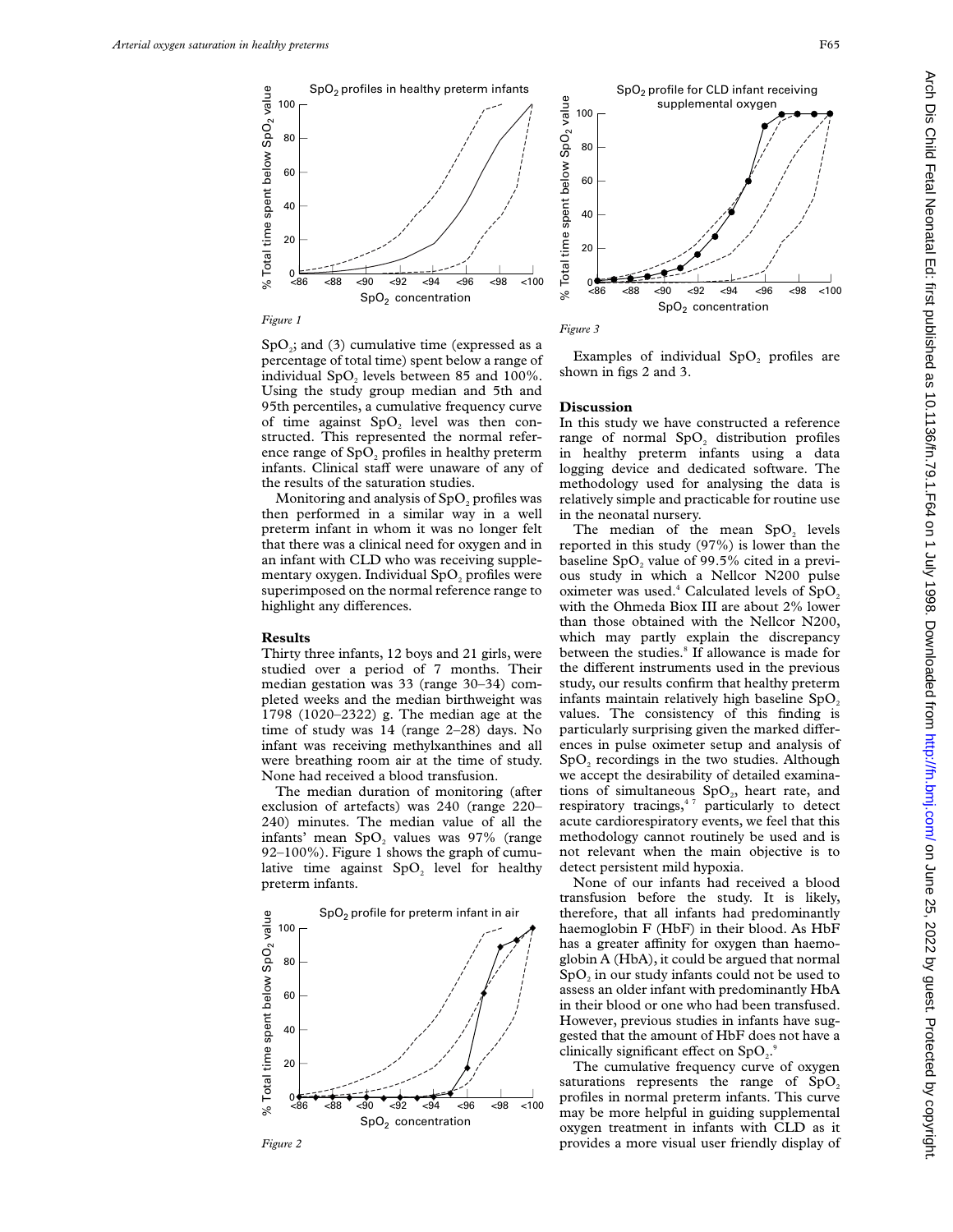

*Figure 1*





 $SpO<sub>3</sub>$ ; and (3) cumulative time (expressed as a percentage of total time) spent below a range of individual  $SpO<sub>2</sub>$  levels between 85 and 100%. Using the study group median and 5th and 95th percentiles, a cumulative frequency curve of time against  $SpO$ , level was then constructed. This represented the normal reference range of  $SpO<sub>2</sub>$  profiles in healthy preterm infants. Clinical staff were unaware of any of the results of the saturation studies.

Monitoring and analysis of SpO<sub>2</sub> profiles was then performed in a similar way in a well preterm infant in whom it was no longer felt that there was a clinical need for oxygen and in an infant with CLD who was receiving supplementary oxygen. Individual SpO<sub>2</sub> profiles were superimposed on the normal reference range to highlight any differences.

### **Results**

Thirty three infants, 12 boys and 21 girls, were studied over a period of 7 months. Their median gestation was 33 (range 30–34) completed weeks and the median birthweight was 1798 (1020–2322) g. The median age at the time of study was 14 (range 2–28) days. No infant was receiving methylxanthines and all were breathing room air at the time of study. None had received a blood transfusion.

The median duration of monitoring (after exclusion of artefacts) was 240 (range 220– 240) minutes. The median value of all the infants' mean  $SpO<sub>2</sub>$  values was 97% (range 92–100%). Figure 1 shows the graph of cumulative time against  $SpO<sub>2</sub>$  level for healthy preterm infants.





Examples of individual SpO<sub>2</sub> profiles are shown in figs 2 and 3.

#### **Discussion**

In this study we have constructed a reference range of normal SpO<sub>2</sub> distribution profiles in healthy preterm infants using a data logging device and dedicated software. The methodology used for analysing the data is relatively simple and practicable for routine use in the neonatal nursery.

The median of the mean SpO<sub>2</sub> levels reported in this study (97%) is lower than the baseline  $SpO<sub>2</sub>$  value of 99.5% cited in a previous study in which a Nellcor N200 pulse oximeter was used.<sup>4</sup> Calculated levels of  $SpO<sub>2</sub>$ with the Ohmeda Biox III are about 2% lower than those obtained with the Nellcor N200, which may partly explain the discrepancy between the studies.<sup>8</sup> If allowance is made for the different instruments used in the previous study, our results confirm that healthy preterm infants maintain relatively high baseline  $SpO<sub>2</sub>$ values. The consistency of this finding is particularly surprising given the marked differences in pulse oximeter setup and analysis of SpO<sub>2</sub> recordings in the two studies. Although we accept the desirability of detailed examinations of simultaneous  $SpO<sub>2</sub>$ , heart rate, and respiratory tracings,<sup>47</sup> particularly to detect acute cardiorespiratory events, we feel that this methodology cannot routinely be used and is not relevant when the main objective is to detect persistent mild hypoxia.

None of our infants had received a blood transfusion before the study. It is likely, therefore, that all infants had predominantly haemoglobin F (HbF) in their blood. As HbF has a greater affinity for oxygen than haemoglobin A (HbA), it could be argued that normal SpO<sub>2</sub> in our study infants could not be used to assess an older infant with predominantly HbA in their blood or one who had been transfused. However, previous studies in infants have suggested that the amount of HbF does not have a clinically significant effect on  $SpO<sub>2</sub>$ .

The cumulative frequency curve of oxygen saturations represents the range of  $SpO<sub>2</sub>$ profiles in normal preterm infants. This curve may be more helpful in guiding supplemental oxygen treatment in infants with CLD as it *Figure 2* **provides a more visual user friendly display of provides a more visual user friendly display of**